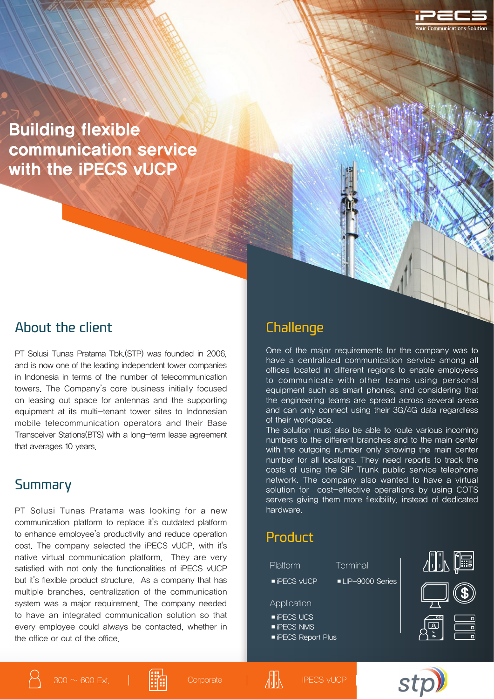Building flexible communication service with the **iPECS** vUCP

### About the client

PT Solusi Tunas Pratama Tbk.(STP) was founded in 2006, and is now one of the leading independent tower companies in Indonesia in terms of the number of telecommunication towers. The Company's core business initially focused on leasing out space for antennas and the supporting equipment at its multi-tenant tower sites to Indonesian mobile telecommunication operators and their Base Transceiver Stations(BTS) with a long-term lease agreement that averages 10 years.

### Summary

PT Solusi Tunas Pratama was looking for a new communication platform to replace it's outdated platform to enhance employee's productivity and reduce operation cost. The company selected the iPECS vUCP, with it's native virtual communication platform. They are very satisfied with not only the functionalities of iPECS vUCP but it's flexible product structure. As a company that has multiple branches, centralization of the communication system was a major requirement. The company needed to have an integrated communication solution so that every employee could always be contacted, whether in the office or out of the office.

## **Challenge**

One of the major requirements for the company was to have a centralized communication service among all offices located in different regions to enable employees to communicate with other teams using personal equipment such as smart phones, and considering that the engineering teams are spread across several areas and can only connect using their 3G/4G data regardless of their workplace.

The solution must also be able to route various incoming numbers to the different branches and to the main center with the outgoing number only showing the main center number for all locations. They need reports to track the costs of using the SIP Trunk public service telephone network. The company also wanted to have a virtual solution for cost-effective operations by using COTS servers giving them more flexibility, instead of dedicated hardware.

## Product

- Platform Terminal
	-
- iPECS vUCP LIP-9000 Series

Application

- ■iPECS UCS
- iPECS NMS
- iPECS Report Plus